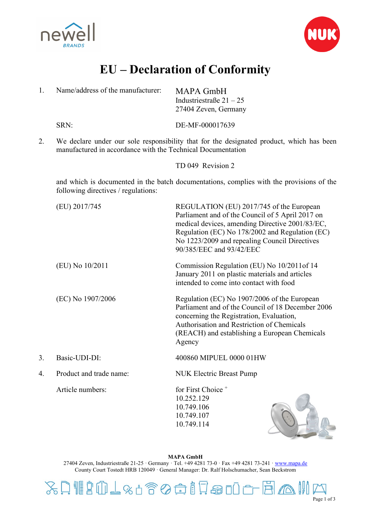



## **EU – Declaration of Conformity**

| 1. | Name/address of the manufacturer:                           | MAPA GmbH<br>Industriestraße $21 - 25$<br>27404 Zeven, Germany                                                                                                                                                                                                                  |
|----|-------------------------------------------------------------|---------------------------------------------------------------------------------------------------------------------------------------------------------------------------------------------------------------------------------------------------------------------------------|
|    | SRN:                                                        | DE-MF-000017639                                                                                                                                                                                                                                                                 |
| 2. | manufactured in accordance with the Technical Documentation | We declare under our sole responsibility that for the designated product, which has been                                                                                                                                                                                        |
|    |                                                             | TD 049 Revision 2                                                                                                                                                                                                                                                               |
|    | following directives / regulations:                         | and which is documented in the batch documentations, complies with the provisions of the                                                                                                                                                                                        |
|    | (EU) 2017/745                                               | REGULATION (EU) 2017/745 of the European<br>Parliament and of the Council of 5 April 2017 on<br>medical devices, amending Directive 2001/83/EC,<br>Regulation (EC) No 178/2002 and Regulation (EC)<br>No 1223/2009 and repealing Council Directives<br>90/385/EEC and 93/42/EEC |
|    | (EU) No $10/2011$                                           | Commission Regulation (EU) No 10/2011 of 14<br>January 2011 on plastic materials and articles<br>intended to come into contact with food                                                                                                                                        |
|    | (EC) No 1907/2006                                           | Regulation (EC) No 1907/2006 of the European<br>Parliament and of the Council of 18 December 2006<br>concerning the Registration, Evaluation,<br>Authorisation and Restriction of Chemicals<br>(REACH) and establishing a European Chemicals<br>Agency                          |
| 3. | Basic-UDI-DI:                                               | 400860 MIPUEL 0000 01HW                                                                                                                                                                                                                                                         |
| 4. | Product and trade name:                                     | <b>NUK Electric Breast Pump</b>                                                                                                                                                                                                                                                 |
|    | Article numbers:                                            | for First Choice <sup>+</sup><br>10.252.129<br>10.749.106<br>10.749.107<br>10.749.114                                                                                                                                                                                           |

**MAPA GmbH** 27404 Zeven, Industriestraße 21-25 · Germany · Tel. +49 4281 73-0 · Fax +49 4281 73-241 [· www.mapa.de](http://www.mapa.de/) County Court Tostedt HRB 120049 · General Manager: Dr. Ralf Holschumacher, Sean Beckstrom

XAIIDOL&6800178000FBAI Page 1 of 3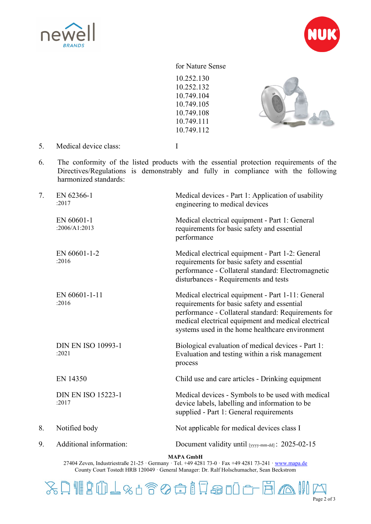



## for Nature Sense

10.252.130 10.252.132 10.749.104 10.749.105 10.749.108 10.749.111 10.749.112



5. Medical device class: I

6. The conformity of the listed products with the essential protection requirements of the Directives/Regulations is demonstrably and fully in compliance with the following harmonized standards:

| 7. | EN 62366-1<br>:2017                | Medical devices - Part 1: Application of usability<br>engineering to medical devices                                                                                                                                                                              |
|----|------------------------------------|-------------------------------------------------------------------------------------------------------------------------------------------------------------------------------------------------------------------------------------------------------------------|
|    | EN 60601-1<br>:2006/A1:2013        | Medical electrical equipment - Part 1: General<br>requirements for basic safety and essential<br>performance                                                                                                                                                      |
|    | EN 60601-1-2<br>:2016              | Medical electrical equipment - Part 1-2: General<br>requirements for basic safety and essential<br>performance - Collateral standard: Electromagnetic<br>disturbances - Requirements and tests                                                                    |
|    | EN 60601-1-11<br>:2016             | Medical electrical equipment - Part 1-11: General<br>requirements for basic safety and essential<br>performance - Collateral standard: Requirements for<br>medical electrical equipment and medical electrical<br>systems used in the home healthcare environment |
|    | <b>DIN EN ISO 10993-1</b><br>:2021 | Biological evaluation of medical devices - Part 1:<br>Evaluation and testing within a risk management<br>process                                                                                                                                                  |
|    | EN 14350                           | Child use and care articles - Drinking equipment                                                                                                                                                                                                                  |
|    | <b>DIN EN ISO 15223-1</b><br>:2017 | Medical devices - Symbols to be used with medical<br>device labels, labelling and information to be<br>supplied - Part 1: General requirements                                                                                                                    |
| 8. | Notified body                      | Not applicable for medical devices class I                                                                                                                                                                                                                        |
| 9. | Additional information:            | Document validity until [yyyy-mm-dd]: 2025-02-15                                                                                                                                                                                                                  |
|    |                                    |                                                                                                                                                                                                                                                                   |

**MAPA GmbH**

27404 Zeven, Industriestraße 21-25 · Germany · Tel. +49 4281 73-0 · Fax +49 4281 73-241 [· www.mapa.de](http://www.mapa.de/) County Court Tostedt HRB 120049 · General Manager: Dr. Ralf Holschumacher, Sean Beckstrom